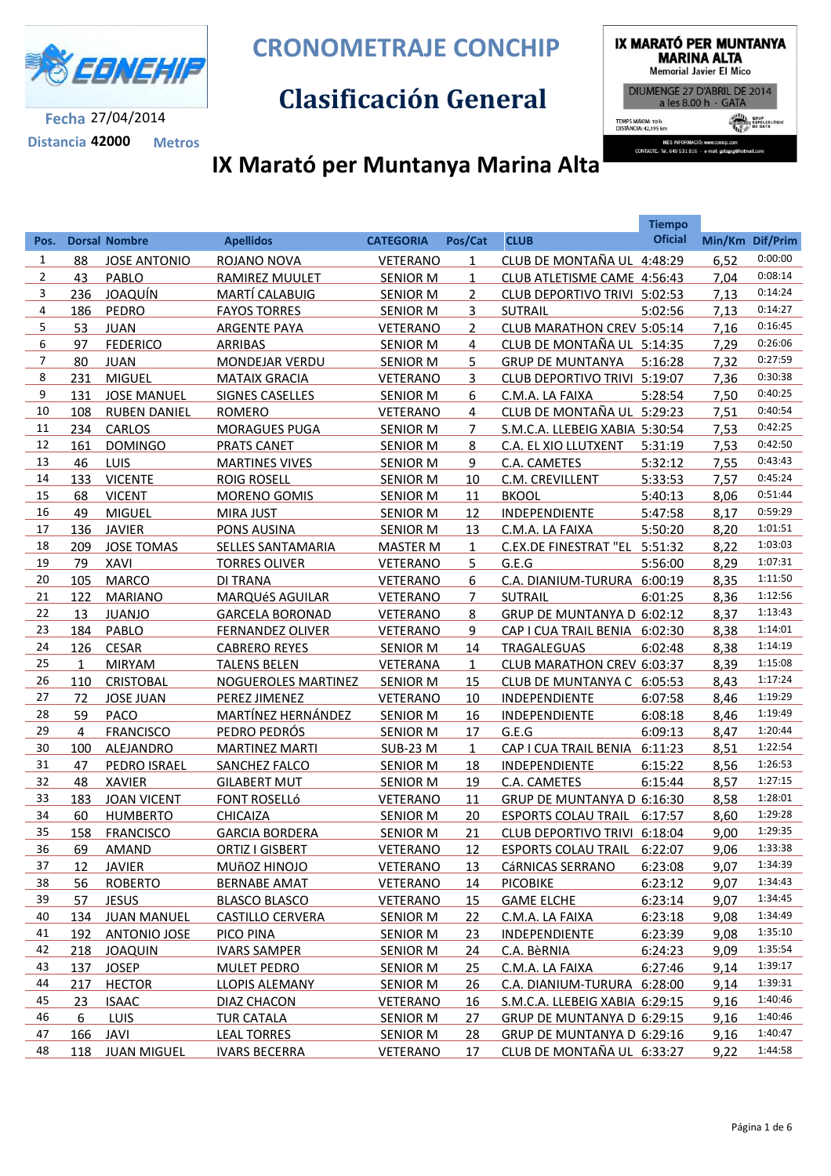

**Distancia 42000 Metros**

**CRONOMETRAJE CONCHIP**

## **Clasificación General**



## **IX Marató per Muntanya Marina Alta**

|                |                |                      |                          |                  |                |                                    | <b>Tiempo</b>  |      |                 |
|----------------|----------------|----------------------|--------------------------|------------------|----------------|------------------------------------|----------------|------|-----------------|
| Pos.           |                | <b>Dorsal Nombre</b> | <b>Apellidos</b>         | <b>CATEGORIA</b> | Pos/Cat        | <b>CLUB</b>                        | <b>Oficial</b> |      | Min/Km Dif/Prim |
| $\mathbf{1}$   | 88             | <b>JOSE ANTONIO</b>  | ROJANO NOVA              | VETERANO         | $\mathbf{1}$   | CLUB DE MONTAÑA UL 4:48:29         |                | 6,52 | 0:00:00         |
| $\overline{2}$ | 43             | PABLO                | RAMIREZ MUULET           | <b>SENIOR M</b>  | $\mathbf{1}$   | CLUB ATLETISME CAME 4:56:43        |                | 7,04 | 0:08:14         |
| 3              | 236            | JOAQUÍN              | MARTÍ CALABUIG           | <b>SENIOR M</b>  | $\overline{2}$ | CLUB DEPORTIVO TRIVI 5:02:53       |                | 7,13 | 0:14:24         |
| 4              | 186            | PEDRO                | <b>FAYOS TORRES</b>      | <b>SENIOR M</b>  | 3              | <b>SUTRAIL</b>                     | 5:02:56        | 7,13 | 0:14:27         |
| 5              | 53             | <b>JUAN</b>          | ARGENTE PAYA             | VETERANO         | $\overline{2}$ | <b>CLUB MARATHON CREV 5:05:14</b>  |                | 7,16 | 0:16:45         |
| 6              | 97             | <b>FEDERICO</b>      | <b>ARRIBAS</b>           | <b>SENIOR M</b>  | 4              | CLUB DE MONTAÑA UL 5:14:35         |                | 7,29 | 0:26:06         |
| 7              | 80             | <b>JUAN</b>          | MONDEJAR VERDU           | <b>SENIOR M</b>  | 5              | <b>GRUP DE MUNTANYA</b>            | 5:16:28        | 7,32 | 0:27:59         |
| 8              | 231            | <b>MIGUEL</b>        | <b>MATAIX GRACIA</b>     | <b>VETERANO</b>  | 3              | CLUB DEPORTIVO TRIVI 5:19:07       |                | 7,36 | 0:30:38         |
| 9              | 131            | <b>JOSE MANUEL</b>   | <b>SIGNES CASELLES</b>   | <b>SENIOR M</b>  | 6              | C.M.A. LA FAIXA                    | 5:28:54        | 7,50 | 0:40:25         |
| 10             | 108            | <b>RUBEN DANIEL</b>  | <b>ROMERO</b>            | <b>VETERANO</b>  | 4              | CLUB DE MONTAÑA UL 5:29:23         |                | 7,51 | 0:40:54         |
| 11             | 234            | CARLOS               | <b>MORAGUES PUGA</b>     | <b>SENIOR M</b>  | $\overline{7}$ | S.M.C.A. LLEBEIG XABIA 5:30:54     |                | 7,53 | 0:42:25         |
| 12             | 161            | <b>DOMINGO</b>       | <b>PRATS CANET</b>       | <b>SENIOR M</b>  | 8              | <b>C.A. EL XIO LLUTXENT</b>        | 5:31:19        | 7,53 | 0:42:50         |
| 13             | 46             | LUIS                 | <b>MARTINES VIVES</b>    | <b>SENIOR M</b>  | 9              | C.A. CAMETES                       | 5:32:12        | 7,55 | 0:43:43         |
| 14             | 133            | <b>VICENTE</b>       | <b>ROIG ROSELL</b>       | <b>SENIOR M</b>  | 10             | C.M. CREVILLENT                    | 5:33:53        | 7,57 | 0:45:24         |
| 15             | 68             | <b>VICENT</b>        | MORENO GOMIS             | <b>SENIOR M</b>  | 11             | <b>BKOOL</b>                       | 5:40:13        | 8,06 | 0:51:44         |
| 16             | 49             | <b>MIGUEL</b>        | <b>MIRA JUST</b>         | <b>SENIOR M</b>  | 12             | INDEPENDIENTE                      | 5:47:58        | 8,17 | 0:59:29         |
| 17             | 136            | JAVIER               | PONS AUSINA              | <b>SENIOR M</b>  | 13             | C.M.A. LA FAIXA                    | 5:50:20        | 8,20 | 1:01:51         |
| 18             | 209            | <b>JOSE TOMAS</b>    | <b>SELLES SANTAMARIA</b> | <b>MASTER M</b>  | $\mathbf{1}$   | C.EX.DE FINESTRAT "EL 5:51:32      |                | 8,22 | 1:03:03         |
| 19             | 79             | XAVI                 | <b>TORRES OLIVER</b>     | <b>VETERANO</b>  | 5              | G.E.G                              | 5:56:00        | 8,29 | 1:07:31         |
| 20             | 105            | <b>MARCO</b>         | <b>DI TRANA</b>          | <b>VETERANO</b>  | 6              | C.A. DIANIUM-TURURA 6:00:19        |                | 8,35 | 1:11:50         |
| 21             | 122            | <b>MARIANO</b>       | <b>MARQUÉS AGUILAR</b>   | VETERANO         | $\overline{7}$ | <b>SUTRAIL</b>                     | 6:01:25        | 8,36 | 1:12:56         |
| 22             | 13             | <b>JUANJO</b>        | <b>GARCELA BORONAD</b>   | <b>VETERANO</b>  | 8              | GRUP DE MUNTANYA D 6:02:12         |                | 8,37 | 1:13:43         |
| 23             | 184            | PABLO                | <b>FERNANDEZ OLIVER</b>  | <b>VETERANO</b>  | 9              | CAP I CUA TRAIL BENIA 6:02:30      |                | 8,38 | 1:14:01         |
| 24             | 126            | <b>CESAR</b>         | <b>CABRERO REYES</b>     | <b>SENIOR M</b>  | 14             | TRAGALEGUAS                        | 6:02:48        | 8,38 | 1:14:19         |
| 25             | 1              | <b>MIRYAM</b>        | <b>TALENS BELEN</b>      | VETERANA         | $\mathbf{1}$   | CLUB MARATHON CREV 6:03:37         |                | 8,39 | 1:15:08         |
| 26             | 110            | <b>CRISTOBAL</b>     | NOGUEROLES MARTINEZ      | <b>SENIOR M</b>  | 15             | CLUB DE MUNTANYA C 6:05:53         |                | 8,43 | 1:17:24         |
| 27             | 72             | <b>JOSE JUAN</b>     | PEREZ JIMENEZ            | <b>VETERANO</b>  | 10             | <b>INDEPENDIENTE</b>               | 6:07:58        | 8,46 | 1:19:29         |
| 28             | 59             | PACO                 | MARTÍNEZ HERNÁNDEZ       | <b>SENIOR M</b>  | 16             | INDEPENDIENTE                      | 6:08:18        | 8,46 | 1:19:49         |
| 29             | $\overline{4}$ | <b>FRANCISCO</b>     | PEDRO PEDRÓS             | <b>SENIOR M</b>  | 17             | G.E.G                              | 6:09:13        | 8,47 | 1:20:44         |
| 30             | 100            | ALEJANDRO            | <b>MARTINEZ MARTI</b>    | <b>SUB-23 M</b>  | $\mathbf{1}$   | CAP I CUA TRAIL BENIA 6:11:23      |                | 8,51 | 1:22:54         |
| 31             | 47             | PEDRO ISRAEL         | SANCHEZ FALCO            | <b>SENIOR M</b>  | 18             | <b>INDEPENDIENTE</b>               | 6:15:22        | 8,56 | 1:26:53         |
| 32             | 48             | <b>XAVIER</b>        | <b>GILABERT MUT</b>      | <b>SENIOR M</b>  | 19             | C.A. CAMETES                       | 6:15:44        | 8,57 | 1:27:15         |
| 33             | 183            | <b>JOAN VICENT</b>   | FONT ROSELLÓ             | <b>VETERANO</b>  | 11             | GRUP DE MUNTANYA D 6:16:30         |                | 8,58 | 1:28:01         |
| 34             | 60             | <b>HUMBERTO</b>      | <b>CHICAIZA</b>          | <b>SENIOR M</b>  | 20             | ESPORTS COLAU TRAIL 6:17:57        |                | 8,60 | 1:29:28         |
| 35             | 158            | <b>FRANCISCO</b>     | <b>GARCIA BORDERA</b>    | <b>SENIOR M</b>  | 21             | CLUB DEPORTIVO TRIVI 6:18:04       |                | 9,00 | 1:29:35         |
| 36             | <u>69</u>      | <b>AMAND</b>         | <b>ORTIZ I GISBERT</b>   | <b>VETERANO</b>  | 12             | <b>ESPORTS COLAU TRAIL 6:22:07</b> |                | 9,06 | 1:33:38         |
| 37             | 12             | <b>JAVIER</b>        | MUñOZ HINOJO             | <b>VETERANO</b>  | <u>13</u>      | <b>CÁRNICAS SERRANO</b>            | 6:23:08        | 9,07 | 1:34:39         |
| 38             | 56             | <b>ROBERTO</b>       | <b>BERNABE AMAT</b>      | <b>VETERANO</b>  | <u>14</u>      | <b>PICOBIKE</b>                    | 6:23:12        | 9,07 | 1:34:43         |
| 39             | 57             | <b>JESUS</b>         | <b>BLASCO BLASCO</b>     | <b>VETERANO</b>  | <u>15</u>      | <b>GAME ELCHE</b>                  | 6:23:14        | 9,07 | 1:34:45         |
| 40             | 134            | <b>JUAN MANUEL</b>   | <b>CASTILLO CERVERA</b>  | <b>SENIOR M</b>  | <u>22</u>      | C.M.A. LA FAIXA                    | 6:23:18        | 9,08 | 1:34:49         |
| 41             | 192            | <b>ANTONIO JOSE</b>  | <b>PICO PINA</b>         | <b>SENIOR M</b>  | <u>23</u>      | <b>INDEPENDIENTE</b>               | 6:23:39        | 9,08 | 1:35:10         |
| 42             | 218            | <b>JOAQUIN</b>       | <b>IVARS SAMPER</b>      | <b>SENIOR M</b>  | <u>24</u>      | <u>C.A. BèRNIA</u>                 | 6:24:23        | 9,09 | 1:35:54         |
| 43             | 137            | <b>JOSEP</b>         | <b>MULET PEDRO</b>       | <b>SENIOR M</b>  | <u>25</u>      | C.M.A. LA FAIXA                    | 6:27:46        | 9,14 | 1:39:17         |
| 44             | 217            | <b>HECTOR</b>        | <b>LLOPIS ALEMANY</b>    | <b>SENIOR M</b>  | <u>26</u>      | C.A. DIANIUM-TURURA 6:28:00        |                | 9,14 | 1:39:31         |
| 45             | 23             | <b>ISAAC</b>         | DIAZ CHACON              | <b>VETERANO</b>  | <u>16</u>      | S.M.C.A. LLEBEIG XABIA 6:29:15     |                | 9,16 | 1:40:46         |
| 46             | 6              | <b>LUIS</b>          | <b>TUR CATALA</b>        | <b>SENIOR M</b>  | <u>27</u>      | GRUP DE MUNTANYA D 6:29:15         |                | 9,16 | 1:40:46         |
| 47             | 166            | <b>JAVI</b>          | <b>LEAL TORRES</b>       | <b>SENIOR M</b>  | <u>28</u>      | GRUP DE MUNTANYA D 6:29:16         |                | 9,16 | 1:40:47         |
| 48             | 118            | <b>JUAN MIGUEL</b>   | <b>IVARS BECERRA</b>     | <b>VETERANO</b>  | 17             | CLUB DE MONTAÑA UL 6:33:27         |                | 9,22 | 1:44:58         |
|                |                |                      |                          |                  |                |                                    |                |      |                 |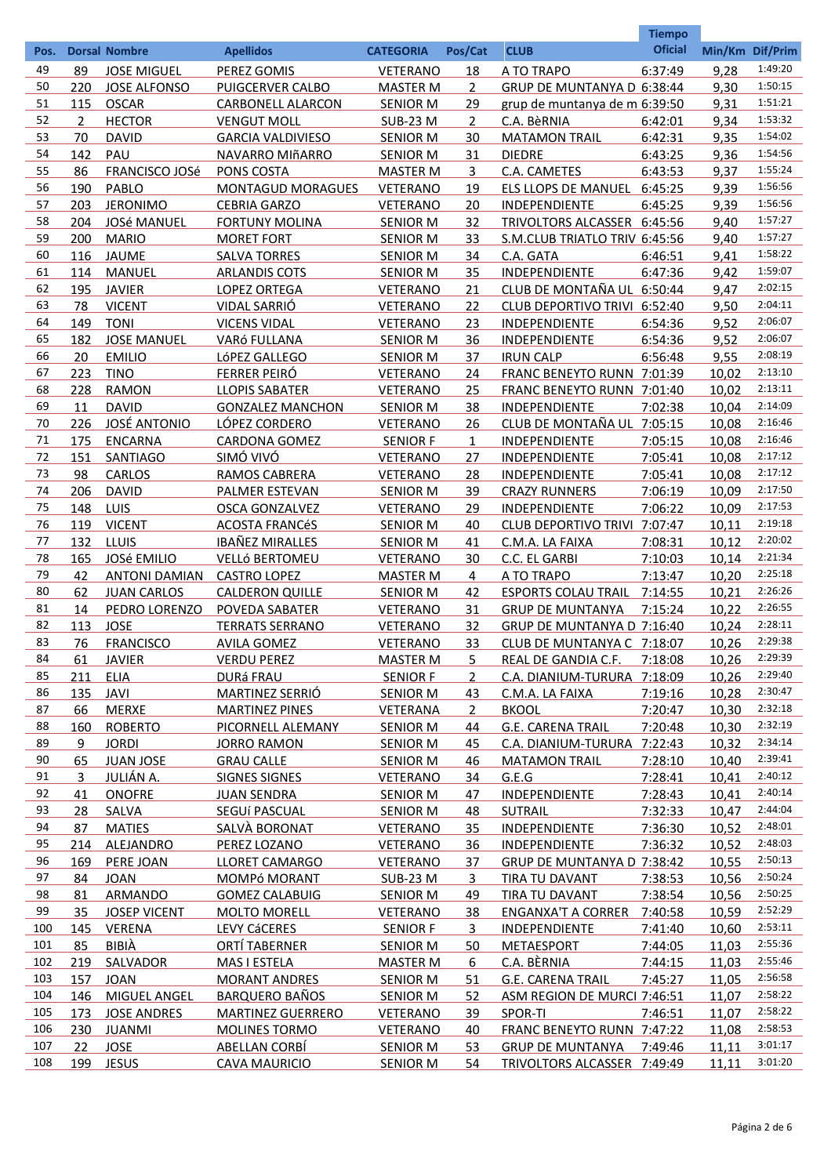|      |                |                              |                                          |                                    |                |                                                   | <b>Tiempo</b>  |                |                 |
|------|----------------|------------------------------|------------------------------------------|------------------------------------|----------------|---------------------------------------------------|----------------|----------------|-----------------|
| Pos. |                | <b>Dorsal Nombre</b>         | <b>Apellidos</b>                         | <b>CATEGORIA</b>                   | Pos/Cat        | <b>CLUB</b>                                       | <b>Oficial</b> |                | Min/Km Dif/Prim |
| 49   | 89             | <b>JOSE MIGUEL</b>           | PEREZ GOMIS                              | VETERANO                           | 18             | A TO TRAPO                                        | 6:37:49        | 9,28           | 1:49:20         |
| 50   | 220            | <b>JOSE ALFONSO</b>          | PUIGCERVER CALBO                         | <b>MASTER M</b>                    | $\overline{2}$ | GRUP DE MUNTANYA D 6:38:44                        |                | 9,30           | 1:50:15         |
| 51   | 115            | <b>OSCAR</b>                 | <b>CARBONELL ALARCON</b>                 | <b>SENIOR M</b>                    | 29             | grup de muntanya de m 6:39:50                     |                | 9,31           | 1:51:21         |
| 52   | $\overline{2}$ | <b>HECTOR</b>                | <b>VENGUT MOLL</b>                       | <b>SUB-23 M</b>                    | $\overline{2}$ | C.A. BèRNIA                                       | 6:42:01        | 9,34           | 1:53:32         |
| 53   | 70             | <b>DAVID</b>                 | <b>GARCIA VALDIVIESO</b>                 | <b>SENIOR M</b>                    | 30             | <b>MATAMON TRAIL</b>                              | 6:42:31        | 9,35           | 1:54:02         |
| 54   | 142            | PAU                          | NAVARRO MIñARRO                          | <b>SENIOR M</b>                    | 31             | <b>DIEDRE</b>                                     | 6:43:25        | 9,36           | 1:54:56         |
| 55   | 86             | <b>FRANCISCO JOSé</b>        | PONS COSTA                               | <b>MASTER M</b>                    | $\overline{3}$ | C.A. CAMETES                                      | 6:43:53        | 9,37           | 1:55:24         |
| 56   | 190            | PABLO                        | <b>MONTAGUD MORAGUES</b>                 | VETERANO                           | 19             | ELS LLOPS DE MANUEL                               | 6:45:25        | 9,39           | 1:56:56         |
| 57   | 203            | <b>JERONIMO</b>              | <b>CEBRIA GARZO</b>                      | VETERANO                           | 20             | INDEPENDIENTE                                     | 6:45:25        | 9,39           | 1:56:56         |
| 58   | 204            | <b>JOSé MANUEL</b>           | <b>FORTUNY MOLINA</b>                    | <b>SENIOR M</b>                    | 32             | TRIVOLTORS ALCASSER 6:45:56                       |                | 9,40           | 1:57:27         |
| 59   | 200            | <b>MARIO</b>                 | <b>MORET FORT</b>                        | <b>SENIOR M</b>                    | 33             | S.M.CLUB TRIATLO TRIV 6:45:56                     |                | 9,40           | 1:57:27         |
| 60   | 116            | <b>JAUME</b>                 | <b>SALVA TORRES</b>                      | <b>SENIOR M</b>                    | 34             | C.A. GATA                                         | 6:46:51        | 9,41           | 1:58:22         |
| 61   | 114            | <b>MANUEL</b>                | <b>ARLANDIS COTS</b>                     | <b>SENIOR M</b>                    | 35             | INDEPENDIENTE                                     | 6:47:36        | 9,42           | 1:59:07         |
| 62   | 195            | <b>JAVIER</b>                | <b>LOPEZ ORTEGA</b>                      | VETERANO                           | 21             | CLUB DE MONTAÑA UL 6:50:44                        |                | 9,47           | 2:02:15         |
| 63   | 78             | <b>VICENT</b>                | VIDAL SARRIÓ                             | VETERANO                           | 22             | CLUB DEPORTIVO TRIVI 6:52:40                      |                | 9,50           | 2:04:11         |
| 64   | 149            | <b>TONI</b>                  | <b>VICENS VIDAL</b>                      | VETERANO                           | 23             | INDEPENDIENTE                                     | 6:54:36        | 9,52           | 2:06:07         |
| 65   | 182            | <b>JOSE MANUEL</b>           | VARÓ FULLANA                             | <b>SENIOR M</b>                    | 36             | INDEPENDIENTE                                     | 6:54:36        | 9,52           | 2:06:07         |
| 66   | 20             | <b>EMILIO</b>                | LÓPEZ GALLEGO                            | <b>SENIOR M</b>                    | 37             | <b>IRUN CALP</b>                                  | 6:56:48        | 9,55           | 2:08:19         |
| 67   | 223            | <b>TINO</b>                  | FERRER PEIRÓ                             | VETERANO                           | 24             | FRANC BENEYTO RUNN 7:01:39                        |                | 10,02          | 2:13:10         |
| 68   | 228            | <b>RAMON</b>                 | <b>LLOPIS SABATER</b>                    | VETERANO                           | 25             | FRANC BENEYTO RUNN 7:01:40                        |                | 10,02          | 2:13:11         |
| 69   | 11             | <b>DAVID</b>                 | <b>GONZALEZ MANCHON</b>                  | <b>SENIOR M</b>                    | 38             | INDEPENDIENTE                                     | 7:02:38        | 10,04          | 2:14:09         |
| 70   | 226            | <b>JOSÉ ANTONIO</b>          | LÓPEZ CORDERO                            | VETERANO                           | 26             | CLUB DE MONTAÑA UL 7:05:15                        |                | 10,08          | 2:16:46         |
| 71   | 175            | <b>ENCARNA</b>               | CARDONA GOMEZ                            | <b>SENIOR F</b>                    | $\mathbf{1}$   | INDEPENDIENTE                                     | 7:05:15        | 10,08          | 2:16:46         |
| 72   | 151            | SANTIAGO                     | SIMÓ VIVÓ                                | VETERANO                           | 27             | INDEPENDIENTE                                     | 7:05:41        | 10,08          | 2:17:12         |
| 73   | 98             | <b>CARLOS</b>                | RAMOS CABRERA                            | VETERANO                           | 28             | INDEPENDIENTE                                     | 7:05:41        | 10,08          | 2:17:12         |
| 74   | 206            | <b>DAVID</b>                 | PALMER ESTEVAN                           | <b>SENIOR M</b>                    | 39             | <b>CRAZY RUNNERS</b>                              | 7:06:19        | 10,09          | 2:17:50         |
| 75   | 148            | LUIS                         | <b>OSCA GONZALVEZ</b>                    | VETERANO                           | 29             | INDEPENDIENTE                                     | 7:06:22        | 10,09          | 2:17:53         |
| 76   | 119            | <b>VICENT</b>                | <b>ACOSTA FRANCÉS</b>                    | <b>SENIOR M</b>                    | 40             | CLUB DEPORTIVO TRIVI 7:07:47                      |                | 10,11          | 2:19:18         |
| 77   | 132            | LLUIS                        | <b>IBAÑEZ MIRALLES</b>                   | <b>SENIOR M</b>                    | 41             | C.M.A. LA FAIXA                                   | 7:08:31        | 10,12          | 2:20:02         |
| 78   | 165            | <b>JOSé EMILIO</b>           | VELLÓ BERTOMEU                           | VETERANO                           | 30             | C.C. EL GARBI                                     | 7:10:03        | 10,14          | 2:21:34         |
| 79   | 42             | <b>ANTONI DAMIAN</b>         | <b>CASTRO LOPEZ</b>                      | <b>MASTER M</b>                    | 4              | A TO TRAPO                                        | 7:13:47        | 10,20          | 2:25:18         |
| 80   | 62             | <b>JUAN CARLOS</b>           | <b>CALDERON QUILLE</b>                   | <b>SENIOR M</b>                    | 42             | <b>ESPORTS COLAU TRAIL</b>                        | 7:14:55        | 10,21          | 2:26:26         |
| 81   | 14             | PEDRO LORENZO                |                                          | VETERANO                           | 31             |                                                   | 7:15:24        | 10,22          | 2:26:55         |
| 82   | 113            | <b>JOSE</b>                  | <b>POVEDA SABATER</b>                    |                                    | 32             | <b>GRUP DE MUNTANYA</b>                           |                | 10,24          | 2:28:11         |
| 83   | 76             |                              | <b>TERRATS SERRANO</b>                   | <b>VETERANO</b><br><b>VETERANO</b> | 33             | <b>GRUP DE MUNTANYA D 7:16:40</b>                 |                | 10,26          | 2:29:38         |
| 84   |                | <b>FRANCISCO</b>             | <b>AVILA GOMEZ</b><br><b>VERDU PEREZ</b> |                                    |                | CLUB DE MUNTANYA C 7:18:07<br>REAL DE GANDIA C.F. |                |                | 2:29:39         |
| 85   | 61<br>211      | <b>JAVIER</b><br><b>ELIA</b> | <b>DURÁ FRAU</b>                         | <b>MASTER M</b><br><b>SENIOR F</b> | 5              | C.A. DIANIUM-TURURA 7:18:09                       | 7:18:08        | 10,26<br>10,26 | 2:29:40         |
| 86   |                |                              |                                          |                                    | 2              |                                                   | 7:19:16        |                | 2:30:47         |
| 87   | 135            | JAVI                         | MARTINEZ SERRIÓ                          | <b>SENIOR M</b>                    | 43             | C.M.A. LA FAIXA                                   |                | 10,28          | 2:32:18         |
| 88   | 66             | <b>MERXE</b>                 | <b>MARTINEZ PINES</b>                    | <b>VETERANA</b>                    | 2              | <b>BKOOL</b>                                      | 7:20:47        | 10,30          | 2:32:19         |
| 89   | 160            | <b>ROBERTO</b>               | PICORNELL ALEMANY                        | <b>SENIOR M</b>                    | 44             | <b>G.E. CARENA TRAIL</b>                          | 7:20:48        | 10,30          | 2:34:14         |
| 90   | 9              | <b>JORDI</b>                 | <b>JORRO RAMON</b>                       | <b>SENIOR M</b><br><b>SENIOR M</b> | 45             | C.A. DIANIUM-TURURA 7:22:43                       |                | 10,32          | 2:39:41         |
| 91   | 65             | <b>JUAN JOSE</b>             | <b>GRAU CALLE</b>                        |                                    | 46             | <b>MATAMON TRAIL</b>                              | 7:28:10        | 10,40          | 2:40:12         |
| 92   | 3              | <u>JULIÁN A.</u>             | <b>SIGNES SIGNES</b>                     | <b>VETERANO</b>                    | 34             | G.E.G                                             | 7:28:41        | 10,41          | 2:40:14         |
|      | 41             | <b>ONOFRE</b>                | <b>JUAN SENDRA</b>                       | <b>SENIOR M</b>                    | 47             | <b>INDEPENDIENTE</b>                              | 7:28:43        | 10,41          | 2:44:04         |
| 93   | 28             | SALVA                        | SEGUÍ PASCUAL                            | <b>SENIOR M</b>                    | 48             | <b>SUTRAIL</b>                                    | 7:32:33        | 10,47          | 2:48:01         |
| 94   | 87             | <b>MATIES</b>                | SALVÀ BORONAT                            | <b>VETERANO</b>                    | 35             | <b>INDEPENDIENTE</b>                              | 7:36:30        | 10,52          | 2:48:03         |
| 95   | 214            | <b>ALEJANDRO</b>             | PEREZ LOZANO                             | <b>VETERANO</b>                    | 36             | <b>INDEPENDIENTE</b>                              | 7:36:32        | 10,52          |                 |
| 96   | 169            | PERE JOAN                    | LLORET CAMARGO                           | <b>VETERANO</b>                    | 37             | GRUP DE MUNTANYA D 7:38:42                        |                | 10,55          | 2:50:13         |
| 97   | 84             | <b>JOAN</b>                  | <b>MOMPÓ MORANT</b>                      | <b>SUB-23 M</b>                    | 3              | <b>TIRA TU DAVANT</b>                             | 7:38:53        | 10,56          | 2:50:24         |
| 98   | 81             | ARMANDO                      | <b>GOMEZ CALABUIG</b>                    | <b>SENIOR M</b>                    | 49             | <b>TIRA TU DAVANT</b>                             | 7:38:54        | 10,56          | 2:50:25         |
| 99   | 35             | <b>JOSEP VICENT</b>          | <b>MOLTO MORELL</b>                      | <b>VETERANO</b>                    | 38             | <b>ENGANXA'T A CORRER</b>                         | 7:40:58        | 10,59          | 2:52:29         |
| 100  | 145            | VERENA                       | <b>LEVY CÁCERES</b>                      | <b>SENIOR F</b>                    | 3              | <b>INDEPENDIENTE</b>                              | 7:41:40        | 10,60          | 2:53:11         |
| 101  | 85             | BIBIÀ                        | ORTÍ TABERNER                            | <b>SENIOR M</b>                    | 50             | METAESPORT                                        | 7:44:05        | 11,03          | 2:55:36         |
| 102  | 219            | <b>SALVADOR</b>              | <b>MAS I ESTELA</b>                      | <b>MASTER M</b>                    | 6              | <u>C.A. BÈRNIA</u>                                | 7:44:15        | 11,03          | 2:55:46         |
| 103  | 157            | <b>JOAN</b>                  | <b>MORANT ANDRES</b>                     | <b>SENIOR M</b>                    | 51             | <b>G.E. CARENA TRAIL</b>                          | 7:45:27        | 11,05          | 2:56:58         |
| 104  | 146            | <b>MIGUEL ANGEL</b>          | <b>BARQUERO BAÑOS</b>                    | <b>SENIOR M</b>                    | 52             | ASM REGION DE MURCI 7:46:51                       |                | 11,07          | 2:58:22         |
| 105  | 173            | <b>JOSE ANDRES</b>           | <b>MARTINEZ GUERRERO</b>                 | <b>VETERANO</b>                    | 39             | SPOR-TI                                           | 7:46:51        | 11,07          | 2:58:22         |
| 106  | 230            | <b>JUANMI</b>                | <b>MOLINES TORMO</b>                     | <b>VETERANO</b>                    | 40             | FRANC BENEYTO RUNN 7:47:22                        |                | 11,08          | 2:58:53         |
| 107  | 22             | <b>JOSE</b>                  | <b>ABELLAN CORBÍ</b>                     | <b>SENIOR M</b>                    | 53             | <b>GRUP DE MUNTANYA</b>                           | 7:49:46        | 11,11          | 3:01:17         |
| 108  | 199            | <b>JESUS</b>                 | <b>CAVA MAURICIO</b>                     | <b>SENIOR M</b>                    | 54             | TRIVOLTORS ALCASSER 7:49:49                       |                | 11,11          | 3:01:20         |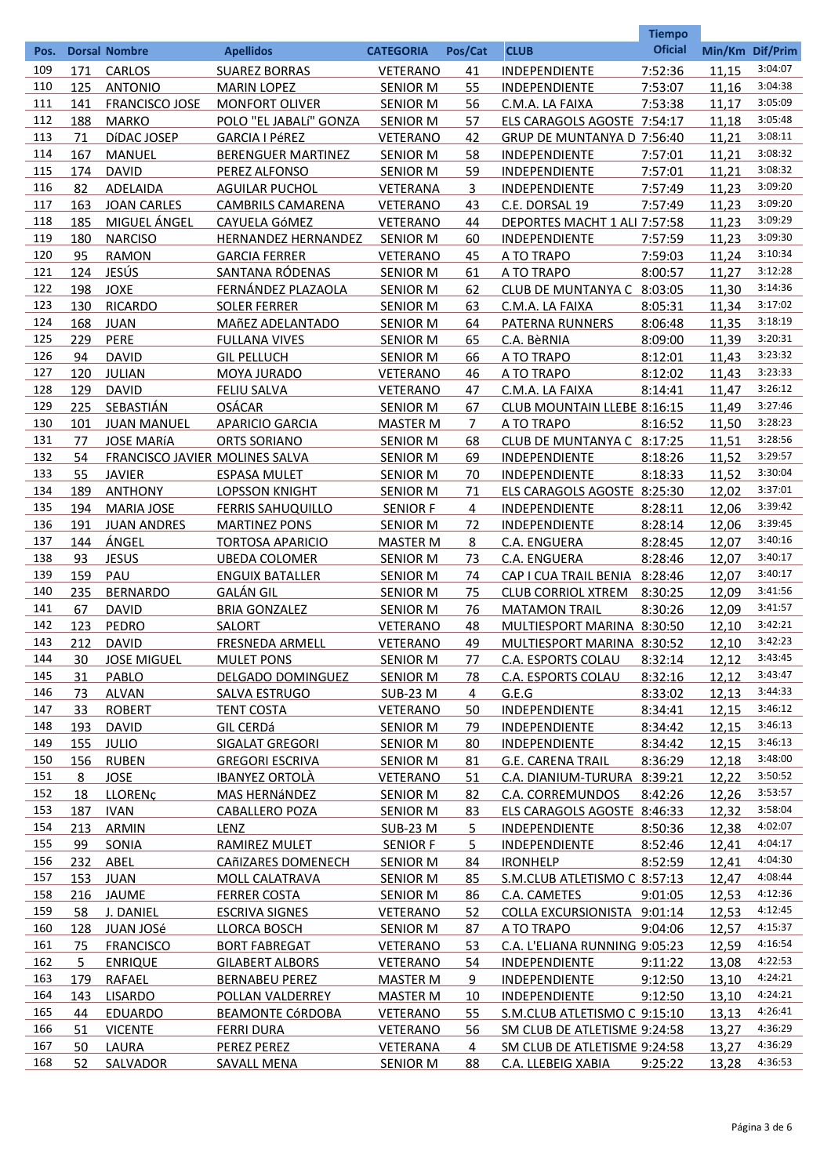|      |     |                                |                          |                  |                |                                    | <b>Tiempo</b>  |              |                 |
|------|-----|--------------------------------|--------------------------|------------------|----------------|------------------------------------|----------------|--------------|-----------------|
| Pos. |     | <b>Dorsal Nombre</b>           | <b>Apellidos</b>         | <b>CATEGORIA</b> | Pos/Cat        | <b>CLUB</b>                        | <b>Oficial</b> |              | Min/Km Dif/Prim |
| 109  | 171 | <b>CARLOS</b>                  | <b>SUAREZ BORRAS</b>     | VETERANO         | 41             | INDEPENDIENTE                      | 7:52:36        | 11,15        | 3:04:07         |
| 110  | 125 | <b>ANTONIO</b>                 | <b>MARIN LOPEZ</b>       | <b>SENIOR M</b>  | 55             | INDEPENDIENTE                      | 7:53:07        | 11,16        | 3:04:38         |
| 111  | 141 | <b>FRANCISCO JOSE</b>          | <b>MONFORT OLIVER</b>    | <b>SENIOR M</b>  | 56             | C.M.A. LA FAIXA                    | 7:53:38        | 11,17        | 3:05:09         |
| 112  | 188 | <b>MARKO</b>                   | POLO "EL JABALÍ" GONZA   | <b>SENIOR M</b>  | 57             | ELS CARAGOLS AGOSTE 7:54:17        |                | 11,18        | 3:05:48         |
| 113  | 71  | DÍDAC JOSEP                    | <b>GARCIA I PÉREZ</b>    | VETERANO         | 42             | GRUP DE MUNTANYA D 7:56:40         |                | 11,21        | 3:08:11         |
| 114  | 167 | <b>MANUEL</b>                  | BERENGUER MARTINEZ       | <b>SENIOR M</b>  | 58             | INDEPENDIENTE                      | 7:57:01        | 11,21        | 3:08:32         |
| 115  | 174 | <b>DAVID</b>                   | PEREZ ALFONSO            | <b>SENIOR M</b>  | 59             | INDEPENDIENTE                      | 7:57:01        | 11,21        | 3:08:32         |
| 116  | 82  | ADELAIDA                       | <b>AGUILAR PUCHOL</b>    | VETERANA         | 3              | INDEPENDIENTE                      | 7:57:49        | 11,23        | 3:09:20         |
| 117  | 163 | <b>JOAN CARLES</b>             | <b>CAMBRILS CAMARENA</b> | VETERANO         | 43             | C.E. DORSAL 19                     | 7:57:49        | 11,23        | 3:09:20         |
| 118  | 185 | MIGUEL ÁNGEL                   | CAYUELA GÓMEZ            | VETERANO         | 44             | DEPORTES MACHT 1 ALI 7:57:58       |                | 11,23        | 3:09:29         |
| 119  | 180 | <b>NARCISO</b>                 | HERNANDEZ HERNANDEZ      | <b>SENIOR M</b>  | 60             | INDEPENDIENTE                      | 7:57:59        | 11,23        | 3:09:30         |
| 120  | 95  | <b>RAMON</b>                   | <b>GARCIA FERRER</b>     | <b>VETERANO</b>  | 45             | A TO TRAPO                         | 7:59:03        | 11,24        | 3:10:34         |
| 121  | 124 | JESÚS                          | <b>SANTANA RÓDENAS</b>   | <b>SENIOR M</b>  | 61             | A TO TRAPO                         | 8:00:57        | 11,27        | 3:12:28         |
| 122  | 198 | <b>JOXE</b>                    | FERNÁNDEZ PLAZAOLA       | <b>SENIOR M</b>  | 62             | CLUB DE MUNTANYA C 8:03:05         |                | 11,30        | 3:14:36         |
| 123  | 130 | <b>RICARDO</b>                 | <b>SOLER FERRER</b>      | <b>SENIOR M</b>  | 63             | C.M.A. LA FAIXA                    | 8:05:31        | 11,34        | 3:17:02         |
| 124  | 168 | <b>JUAN</b>                    | MAñEZ ADELANTADO         | <b>SENIOR M</b>  | 64             | PATERNA RUNNERS                    | 8:06:48        | 11,35        | 3:18:19         |
| 125  | 229 | PERE                           | <b>FULLANA VIVES</b>     | <b>SENIOR M</b>  | 65             | C.A. BèRNIA                        | 8:09:00        | 11,39        | 3:20:31         |
| 126  | 94  | <b>DAVID</b>                   | <b>GIL PELLUCH</b>       | <b>SENIOR M</b>  | 66             | A TO TRAPO                         | 8:12:01        | 11,43        | 3:23:32         |
| 127  | 120 | <b>JULIAN</b>                  | MOYA JURADO              | VETERANO         | 46             | A TO TRAPO                         | 8:12:02        | 11,43        | 3:23:33         |
| 128  | 129 | <b>DAVID</b>                   | <b>FELIU SALVA</b>       | VETERANO         | 47             | C.M.A. LA FAIXA                    | 8:14:41        | 11,47        | 3:26:12         |
| 129  | 225 | SEBASTIÁN                      | <b>OSÁCAR</b>            | <b>SENIOR M</b>  | 67             | <b>CLUB MOUNTAIN LLEBE 8:16:15</b> |                | 11,49        | 3:27:46         |
| 130  | 101 | <b>JUAN MANUEL</b>             | <b>APARICIO GARCIA</b>   | <b>MASTER M</b>  | 7              | A TO TRAPO                         | 8:16:52        | 11,50        | 3:28:23         |
| 131  | 77  | <b>JOSE MARÍA</b>              | <b>ORTS SORIANO</b>      | <b>SENIOR M</b>  | 68             | CLUB DE MUNTANYA C 8:17:25         |                | 11,51        | 3:28:56         |
| 132  | 54  | FRANCISCO JAVIER MOLINES SALVA |                          | <b>SENIOR M</b>  | 69             | INDEPENDIENTE                      | 8:18:26        | 11,52        | 3:29:57         |
| 133  | 55  | <b>JAVIER</b>                  | <b>ESPASA MULET</b>      | <b>SENIOR M</b>  | 70             | INDEPENDIENTE                      | 8:18:33        | 11,52        | 3:30:04         |
| 134  | 189 | <b>ANTHONY</b>                 | <b>LOPSSON KNIGHT</b>    | <b>SENIOR M</b>  | 71             | ELS CARAGOLS AGOSTE 8:25:30        |                | 12,02        | 3:37:01         |
| 135  | 194 | <b>MARIA JOSE</b>              | <b>FERRIS SAHUQUILLO</b> | <b>SENIOR F</b>  | $\overline{4}$ | <b>INDEPENDIENTE</b>               | 8:28:11        | 12,06        | 3:39:42         |
| 136  | 191 | <b>JUAN ANDRES</b>             | <b>MARTINEZ PONS</b>     | <b>SENIOR M</b>  | 72             | INDEPENDIENTE                      | 8:28:14        | 12,06        | 3:39:45         |
| 137  | 144 | ÁNGEL                          | <b>TORTOSA APARICIO</b>  | <b>MASTER M</b>  | 8              | C.A. ENGUERA                       | 8:28:45        | 12,07        | 3:40:16         |
| 138  | 93  | <b>JESUS</b>                   | <b>UBEDA COLOMER</b>     | <b>SENIOR M</b>  | 73             | C.A. ENGUERA                       | 8:28:46        | 12,07        | 3:40:17         |
| 139  | 159 | PAU                            | <b>ENGUIX BATALLER</b>   | <b>SENIOR M</b>  | 74             | CAP I CUA TRAIL BENIA 8:28:46      |                | 12,07        | 3:40:17         |
| 140  | 235 | <b>BERNARDO</b>                | <b>GALÁN GIL</b>         | <b>SENIOR M</b>  | 75             | <b>CLUB CORRIOL XTREM</b>          | 8:30:25        | 12,09        | 3:41:56         |
| 141  | 67  | <b>DAVID</b>                   | <b>BRIA GONZALEZ</b>     | <b>SENIOR M</b>  | 76             | <b>MATAMON TRAIL</b>               | 8:30:26        | 12,09        | 3:41:57         |
| 142  | 123 | PEDRO                          | <b>SALORT</b>            | <b>VETERANO</b>  | 48             | MULTIESPORT MARINA 8:30:50         |                | 12,10        | 3:42:21         |
| 143  | 212 | <b>DAVID</b>                   | <b>FRESNEDA ARMELL</b>   | VETERANO         | 49             | MULTIESPORT MARINA 8:30:52         |                | 12,10        | 3:42:23         |
| 144  | 30  | <b>JOSE MIGUEL</b>             | <b>MULET PONS</b>        | <b>SENIOR M</b>  | 77             | <b>C.A. ESPORTS COLAU</b>          | 8:32:14        | 12,12        | 3:43:45         |
| 145  | 31  | PABLO                          | DELGADO DOMINGUEZ        | <b>SENIOR M</b>  | 78             | <b>C.A. ESPORTS COLAU</b>          | 8:32:16        | 12,12        | 3:43:47         |
| 146  | 73  | <b>ALVAN</b>                   | SALVA ESTRUGO            | <b>SUB-23 M</b>  | 4              | G.E.G                              | 8:33:02        | 12,13        | 3:44:33         |
| 147  | 33  | <b>ROBERT</b>                  | <b>TENT COSTA</b>        | <b>VETERANO</b>  | 50             | INDEPENDIENTE                      | 8:34:41        | 12,15        | 3:46:12         |
| 148  | 193 | <b>DAVID</b>                   | GIL CERDá                | <b>SENIOR M</b>  | 79             | <b>INDEPENDIENTE</b>               | 8:34:42        | 12,15        | 3:46:13         |
| 149  | 155 | <b>JULIO</b>                   | <b>SIGALAT GREGORI</b>   | <b>SENIOR M</b>  | 80             | <b>INDEPENDIENTE</b>               | 8:34:42        | <u>12,15</u> | 3:46:13         |
| 150  | 156 | <b>RUBEN</b>                   | <b>GREGORI ESCRIVA</b>   | <b>SENIOR M</b>  | 81             | <b>G.E. CARENA TRAIL</b>           | 8:36:29        | 12,18        | 3:48:00         |
| 151  | 8   | <b>JOSE</b>                    | <b>IBANYEZ ORTOLÀ</b>    | <b>VETERANO</b>  | 51             | C.A. DIANIUM-TURURA 8:39:21        |                | 12,22        | 3:50:52         |
| 152  | 18  | <b>LLORENC</b>                 | MAS HERNÁNDEZ            | <b>SENIOR M</b>  | 82             | C.A. CORREMUNDOS                   | 8:42:26        | 12,26        | 3:53:57         |
| 153  | 187 | <b>IVAN</b>                    | <b>CABALLERO POZA</b>    | <b>SENIOR M</b>  | 83             | ELS CARAGOLS AGOSTE 8:46:33        |                | 12,32        | 3:58:04         |
| 154  | 213 | ARMIN                          | LENZ                     | <b>SUB-23 M</b>  | 5              | <b>INDEPENDIENTE</b>               | 8:50:36        | 12,38        | 4:02:07         |
| 155  | 99  | <b>SONIA</b>                   | RAMIREZ MULET            | <b>SENIOR F</b>  | 5 <sub>2</sub> | <b>INDEPENDIENTE</b>               | 8:52:46        | 12,41        | 4:04:17         |
| 156  | 232 | <b>ABEL</b>                    | CAñIZARES DOMENECH       | <b>SENIOR M</b>  | 84             | <b>IRONHELP</b>                    | 8:52:59        | 12,41        | 4:04:30         |
| 157  | 153 | <b>JUAN</b>                    | <b>MOLL CALATRAVA</b>    | <b>SENIOR M</b>  | <u>85</u>      | S.M.CLUB ATLETISMO C 8:57:13       |                | 12,47        | 4:08:44         |
| 158  | 216 | JAUME                          | <b>FERRER COSTA</b>      | <b>SENIOR M</b>  | <u>86</u>      | C.A. CAMETES                       | 9:01:05        | 12,53        | 4:12:36         |
| 159  | 58  | J. DANIEL                      | <b>ESCRIVA SIGNES</b>    | VETERANO         | 52             | COLLA EXCURSIONISTA 9:01:14        |                | 12,53        | 4:12:45         |
| 160  | 128 | <u>JUAN JOSé</u>               | <b>LLORCA BOSCH</b>      | <b>SENIOR M</b>  | 87             | A TO TRAPO                         | 9:04:06        | 12,57        | 4:15:37         |
| 161  | 75  | <b>FRANCISCO</b>               | <b>BORT FABREGAT</b>     | <b>VETERANO</b>  | 53             | C.A. L'ELIANA RUNNING 9:05:23      |                | 12,59        | 4:16:54         |
| 162  | 5   | <b>ENRIQUE</b>                 | <b>GILABERT ALBORS</b>   | <b>VETERANO</b>  | 54             | <b>INDEPENDIENTE</b>               | 9:11:22        | 13,08        | 4:22:53         |
| 163  | 179 | RAFAEL                         | <b>BERNABEU PEREZ</b>    | <b>MASTER M</b>  | 9              | <b>INDEPENDIENTE</b>               | 9:12:50        | 13,10        | 4:24:21         |
| 164  | 143 | <b>LISARDO</b>                 | POLLAN VALDERREY         | <b>MASTER M</b>  | <u>10</u>      | <b>INDEPENDIENTE</b>               | 9:12:50        | 13,10        | 4:24:21         |
| 165  | 44  | <b>EDUARDO</b>                 | <b>BEAMONTE CÓRDOBA</b>  | <b>VETERANO</b>  | <u>55</u>      | S.M.CLUB ATLETISMO C 9:15:10       |                | 13,13        | 4:26:41         |
| 166  | 51  | <b>VICENTE</b>                 | <b>FERRI DURA</b>        | <b>VETERANO</b>  | <u>56</u>      | SM CLUB DE ATLETISME 9:24:58       |                | 13,27        | 4:36:29         |
| 167  | 50  | LAURA                          | PEREZ PEREZ              | VETERANA         | 4              | SM CLUB DE ATLETISME 9:24:58       |                | 13,27        | 4:36:29         |
| 168  | 52  | <b>SALVADOR</b>                | <b>SAVALL MENA</b>       | <b>SENIOR M</b>  | 88             | C.A. LLEBEIG XABIA                 | 9:25:22        | 13,28        | 4:36:53         |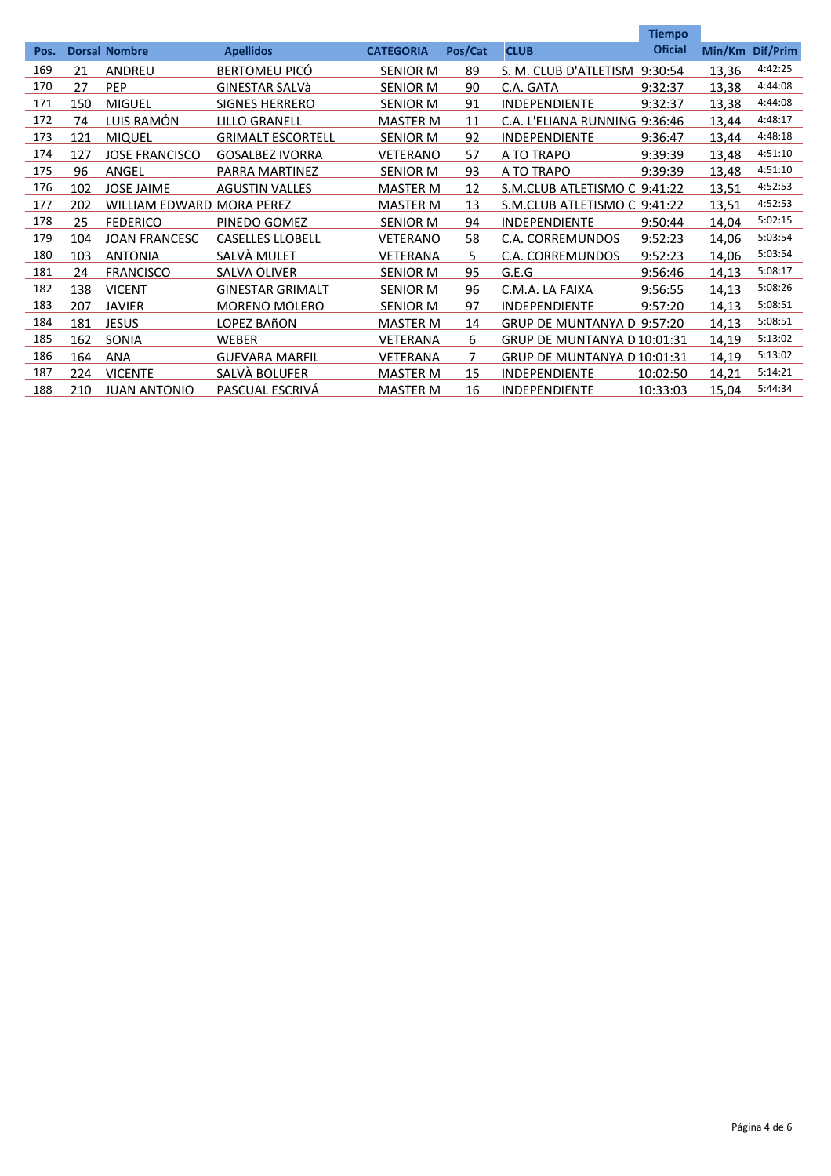|      |     |                       |                          |                  |         |                               | <b>Tiempo</b>  |       |                 |
|------|-----|-----------------------|--------------------------|------------------|---------|-------------------------------|----------------|-------|-----------------|
| Pos. |     | <b>Dorsal Nombre</b>  | <b>Apellidos</b>         | <b>CATEGORIA</b> | Pos/Cat | <b>CLUB</b>                   | <b>Oficial</b> |       | Min/Km Dif/Prim |
| 169  | 21  | ANDREU                | <b>BERTOMEU PICÓ</b>     | <b>SENIOR M</b>  | 89      | S. M. CLUB D'ATLETISM 9:30:54 |                | 13,36 | 4:42:25         |
| 170  | 27  | <b>PEP</b>            | <b>GINESTAR SALVà</b>    | <b>SENIOR M</b>  | 90      | C.A. GATA                     | 9:32:37        | 13,38 | 4:44:08         |
| 171  | 150 | <b>MIGUEL</b>         | <b>SIGNES HERRERO</b>    | <b>SENIOR M</b>  | 91      | INDEPENDIENTE                 | 9:32:37        | 13,38 | 4:44:08         |
| 172  | 74  | LUIS RAMÓN            | <b>LILLO GRANELL</b>     | <b>MASTER M</b>  | 11      | C.A. L'ELIANA RUNNING 9:36:46 |                | 13,44 | 4:48:17         |
| 173  | 121 | <b>MIQUEL</b>         | <b>GRIMALT ESCORTELL</b> | <b>SENIOR M</b>  | 92      | <b>INDEPENDIENTE</b>          | 9:36:47        | 13,44 | 4:48:18         |
| 174  | 127 | <b>JOSE FRANCISCO</b> | <b>GOSALBEZ IVORRA</b>   | VETERANO         | 57      | A TO TRAPO                    | 9:39:39        | 13,48 | 4:51:10         |
| 175  | 96  | ANGEL                 | PARRA MARTINEZ           | <b>SENIOR M</b>  | 93      | A TO TRAPO                    | 9:39:39        | 13,48 | 4:51:10         |
| 176  | 102 | <b>JOSE JAIME</b>     | <b>AGUSTIN VALLES</b>    | <b>MASTER M</b>  | 12      | S.M.CLUB ATLETISMO C 9:41:22  |                | 13,51 | 4:52:53         |
| 177  | 202 | <b>WILLIAM EDWARD</b> | <b>MORA PEREZ</b>        | <b>MASTER M</b>  | 13      | S.M.CLUB ATLETISMO C 9:41:22  |                | 13,51 | 4:52:53         |
| 178  | 25  | <b>FEDERICO</b>       | PINEDO GOMEZ             | <b>SENIOR M</b>  | 94      | <b>INDEPENDIENTE</b>          | 9:50:44        | 14,04 | 5:02:15         |
| 179  | 104 | <b>JOAN FRANCESC</b>  | <b>CASELLES LLOBELL</b>  | <b>VETERANO</b>  | 58      | C.A. CORREMUNDOS              | 9:52:23        | 14,06 | 5:03:54         |
| 180  | 103 | <b>ANTONIA</b>        | SALVÀ MULET              | VETERANA         | 5.      | C.A. CORREMUNDOS              | 9:52:23        | 14,06 | 5:03:54         |
| 181  | 24  | <b>FRANCISCO</b>      | <b>SALVA OLIVER</b>      | <b>SENIOR M</b>  | 95      | G.E.G                         | 9:56:46        | 14,13 | 5:08:17         |
| 182  | 138 | <b>VICENT</b>         | <b>GINESTAR GRIMALT</b>  | <b>SENIOR M</b>  | 96      | C.M.A. LA FAIXA               | 9:56:55        | 14,13 | 5:08:26         |
| 183  | 207 | <b>JAVIER</b>         | <b>MORENO MOLERO</b>     | <b>SENIOR M</b>  | 97      | <b>INDEPENDIENTE</b>          | 9:57:20        | 14,13 | 5:08:51         |
| 184  | 181 | <b>JESUS</b>          | <b>LOPEZ BAñON</b>       | <b>MASTER M</b>  | 14      | GRUP DE MUNTANYA D 9:57:20    |                | 14,13 | 5:08:51         |
| 185  | 162 | SONIA                 | WEBER                    | VETERANA         | 6       | GRUP DE MUNTANYA D10:01:31    |                | 14,19 | 5:13:02         |
| 186  | 164 | <b>ANA</b>            | <b>GUEVARA MARFIL</b>    | <b>VETERANA</b>  | 7       | GRUP DE MUNTANYA D 10:01:31   |                | 14,19 | 5:13:02         |
| 187  | 224 | <b>VICENTE</b>        | SALVÀ BOLUFER            | <b>MASTER M</b>  | 15      | <b>INDEPENDIENTE</b>          | 10:02:50       | 14,21 | 5:14:21         |
| 188  | 210 | <b>JUAN ANTONIO</b>   | PASCUAL ESCRIVÁ          | <b>MASTER M</b>  | 16      | <b>INDEPENDIENTE</b>          | 10:33:03       | 15.04 | 5:44:34         |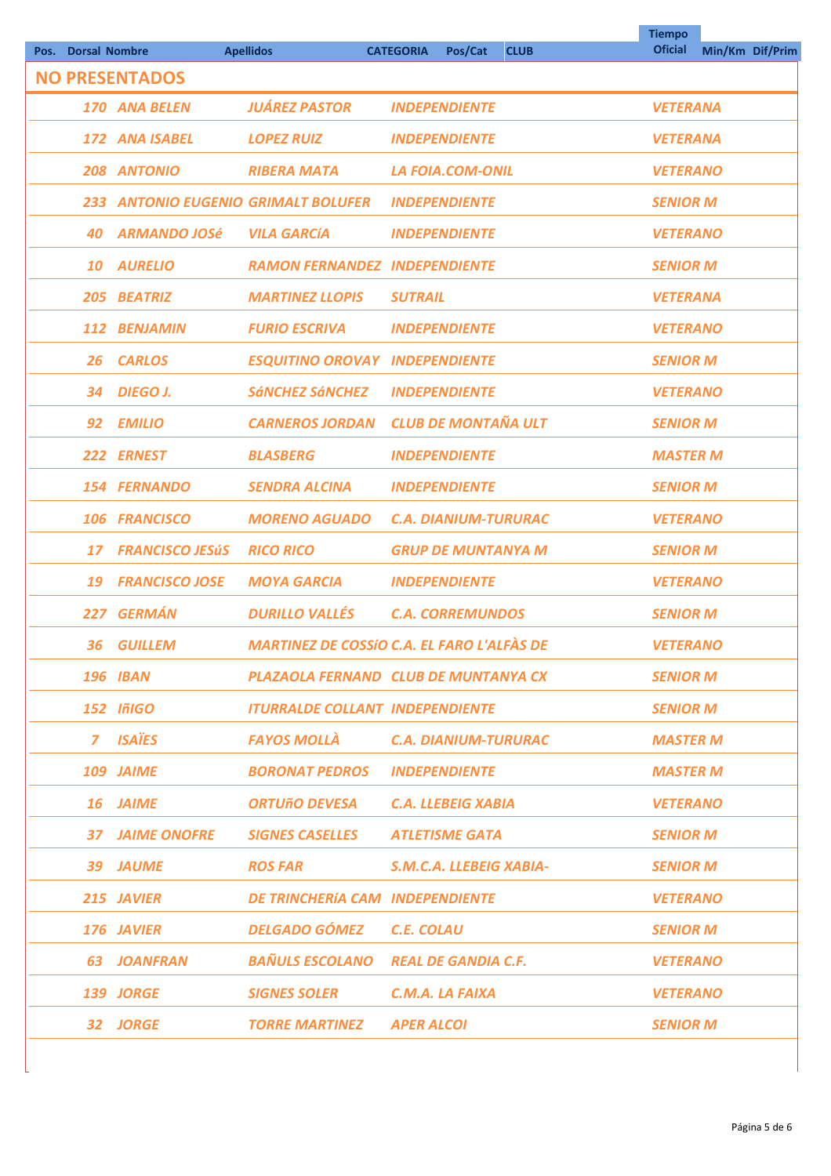|                              |                        |                                        |                                                   | <b>Tiempo</b>   |                 |
|------------------------------|------------------------|----------------------------------------|---------------------------------------------------|-----------------|-----------------|
| <b>Dorsal Nombre</b><br>Pos. |                        | <b>Apellidos</b>                       | <b>CATEGORIA</b><br>Pos/Cat<br><b>CLUB</b>        | <b>Oficial</b>  | Min/Km Dif/Prim |
|                              | <b>NO PRESENTADOS</b>  |                                        |                                                   |                 |                 |
|                              | 170 ANA BELEN          | <b>JUÁREZ PASTOR</b>                   | <b>INDEPENDIENTE</b>                              | <b>VETERANA</b> |                 |
|                              | 172 ANA ISABEL         | <b>LOPEZ RUIZ</b>                      | <b>INDEPENDIENTE</b>                              | <b>VETERANA</b> |                 |
|                              | 208 ANTONIO            | <b>RIBERA MATA</b>                     | <b>LA FOIA.COM-ONIL</b>                           | <b>VETERANO</b> |                 |
| 233                          |                        | <b>ANTONIO EUGENIO GRIMALT BOLUFER</b> | <b>INDEPENDIENTE</b>                              | <b>SENIOR M</b> |                 |
| 40                           | <b>ARMANDO JOSé</b>    | <b>VILA GARCÍA</b>                     | <b>INDEPENDIENTE</b>                              | <b>VETERANO</b> |                 |
| 10                           | <b>AURELIO</b>         | <b>RAMON FERNANDEZ INDEPENDIENTE</b>   |                                                   | <b>SENIOR M</b> |                 |
|                              | 205 BEATRIZ            | <b>MARTINEZ LLOPIS</b>                 | <b>SUTRAIL</b>                                    | <b>VETERANA</b> |                 |
| 112                          | <b>BENJAMIN</b>        | <b>FURIO ESCRIVA</b>                   | <b>INDEPENDIENTE</b>                              | <b>VETERANO</b> |                 |
| 26                           | <b>CARLOS</b>          | <b>ESQUITINO OROVAY INDEPENDIENTE</b>  |                                                   | <b>SENIOR M</b> |                 |
| 34                           | <b>DIEGO J.</b>        | <b>SÁNCHEZ SÁNCHEZ</b>                 | <b>INDEPENDIENTE</b>                              | <b>VETERANO</b> |                 |
| 92                           | <b>EMILIO</b>          | <b>CARNEROS JORDAN</b>                 | <b>CLUB DE MONTAÑA ULT</b>                        | <b>SENIOR M</b> |                 |
|                              | 222 ERNEST             | <b>BLASBERG</b>                        | <b>INDEPENDIENTE</b>                              | <b>MASTER M</b> |                 |
|                              | <b>154 FERNANDO</b>    | <b>SENDRA ALCINA</b>                   | <b>INDEPENDIENTE</b>                              | <b>SENIOR M</b> |                 |
|                              | 106 FRANCISCO          | <b>MORENO AGUADO</b>                   | <b>C.A. DIANIUM-TURURAC</b>                       | <b>VETERANO</b> |                 |
| 17                           | <b>FRANCISCO JESÚS</b> | <b>RICO RICO</b>                       | <b>GRUP DE MUNTANYA M</b>                         | <b>SENIOR M</b> |                 |
| 19                           | <b>FRANCISCO JOSE</b>  | <b>MOYA GARCIA</b>                     | <b>INDEPENDIENTE</b>                              | <b>VETERANO</b> |                 |
| 227                          | <b>GERMÁN</b>          | <b>DURILLO VALLÉS</b>                  | <b>C.A. CORREMUNDOS</b>                           | <b>SENIOR M</b> |                 |
| 36                           | <b>GUILLEM</b>         |                                        | <b>MARTINEZ DE COSSÍO C.A. EL FARO L'ALFÀS DE</b> | <b>VETERANO</b> |                 |
|                              | <b>196 IBAN</b>        |                                        | PLAZAOLA FERNAND CLUB DE MUNTANYA CX              | <b>SENIOR M</b> |                 |
|                              | <b>152 IñIGO</b>       | <b>ITURRALDE COLLANT INDEPENDIENTE</b> |                                                   | <b>SENIOR M</b> |                 |
|                              | <b>7</b> ISAÏES        | FAYOS MOLLÀ                            | <b>C.A. DIANIUM-TURURAC</b>                       | <b>MASTER M</b> |                 |
|                              | 109 JAIME              | <b>BORONAT PEDROS INDEPENDIENTE</b>    |                                                   | <b>MASTER M</b> |                 |
|                              | 16 JAIME               | ORTUñO DEVESA                          | C.A. LLEBEIG XABIA                                | <b>VETERANO</b> |                 |
|                              | <b>37 JAIME ONOFRE</b> | SIGNES CASELLES ATLETISME GATA         |                                                   | <b>SENIOR M</b> |                 |
|                              | 39 JAUME               | <b>ROS FAR</b>                         | S.M.C.A. LLEBEIG XABIA-                           | <b>SENIOR M</b> |                 |
|                              | 215 JAVIER             | DE TRINCHERÍA CAM INDEPENDIENTE        |                                                   | <b>VETERANO</b> |                 |
|                              | 176 JAVIER             | DELGADO GÓMEZ C.E. COLAU               |                                                   | <b>SENIOR M</b> |                 |
|                              | <b>63 JOANFRAN</b>     |                                        | BAÑULS ESCOLANO REAL DE GANDIA C.F.               | <b>VETERANO</b> |                 |
|                              | 139 JORGE              | <b>SIGNES SOLER</b>                    | C.M.A. LA FAIXA                                   | <b>VETERANO</b> |                 |
|                              | 32 JORGE               | <i><b>TORRE MARTINEZ</b></i>           | <b>APER ALCOI</b>                                 | <b>SENIOR M</b> |                 |
|                              |                        |                                        |                                                   |                 |                 |